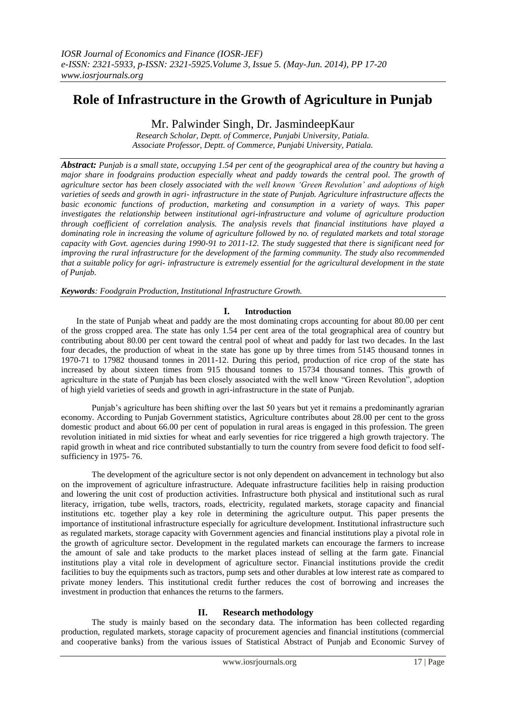# **Role of Infrastructure in the Growth of Agriculture in Punjab**

Mr. Palwinder Singh, Dr. JasmindeepKaur

*Research Scholar, Deptt. of Commerce, Punjabi University, Patiala. Associate Professor, Deptt. of Commerce, Punjabi University, Patiala.*

*Abstract: Punjab is a small state, occupying 1.54 per cent of the geographical area of the country but having a major share in foodgrains production especially wheat and paddy towards the central pool. The growth of agriculture sector has been closely associated with the well known 'Green Revolution' and adoptions of high varieties of seeds and growth in agri- infrastructure in the state of Punjab. Agriculture infrastructure affects the basic economic functions of production, marketing and consumption in a variety of ways. This paper investigates the relationship between institutional agri-infrastructure and volume of agriculture production through coefficient of correlation analysis. The analysis revels that financial institutions have played a dominating role in increasing the volume of agriculture followed by no. of regulated markets and total storage capacity with Govt. agencies during 1990-91 to 2011-12. The study suggested that there is significant need for improving the rural infrastructure for the development of the farming community. The study also recommended that a suitable policy for agri- infrastructure is extremely essential for the agricultural development in the state of Punjab.* 

*Keywords: Foodgrain Production, Institutional Infrastructure Growth.*

#### **I. Introduction**

In the state of Punjab wheat and paddy are the most dominating crops accounting for about 80.00 per cent of the gross cropped area. The state has only 1.54 per cent area of the total geographical area of country but contributing about 80.00 per cent toward the central pool of wheat and paddy for last two decades. In the last four decades, the production of wheat in the state has gone up by three times from 5145 thousand tonnes in 1970-71 to 17982 thousand tonnes in 2011-12. During this period, production of rice crop of the state has increased by about sixteen times from 915 thousand tonnes to 15734 thousand tonnes. This growth of agriculture in the state of Punjab has been closely associated with the well know "Green Revolution", adoption of high yield varieties of seeds and growth in agri-infrastructure in the state of Punjab.

Punjab's agriculture has been shifting over the last 50 years but yet it remains a predominantly agrarian economy. According to Punjab Government statistics, Agriculture contributes about 28.00 per cent to the gross domestic product and about 66.00 per cent of population in rural areas is engaged in this profession. The green revolution initiated in mid sixties for wheat and early seventies for rice triggered a high growth trajectory. The rapid growth in wheat and rice contributed substantially to turn the country from severe food deficit to food selfsufficiency in 1975- 76.

The development of the agriculture sector is not only dependent on advancement in technology but also on the improvement of agriculture infrastructure. Adequate infrastructure facilities help in raising production and lowering the unit cost of production activities. Infrastructure both physical and institutional such as rural literacy, irrigation, tube wells, tractors, roads, electricity, regulated markets, storage capacity and financial institutions etc. together play a key role in determining the agriculture output. This paper presents the importance of institutional infrastructure especially for agriculture development. Institutional infrastructure such as regulated markets, storage capacity with Government agencies and financial institutions play a pivotal role in the growth of agriculture sector. Development in the regulated markets can encourage the farmers to increase the amount of sale and take products to the market places instead of selling at the farm gate. Financial institutions play a vital role in development of agriculture sector. Financial institutions provide the credit facilities to buy the equipments such as tractors, pump sets and other durables at low interest rate as compared to private money lenders. This institutional credit further reduces the cost of borrowing and increases the investment in production that enhances the returns to the farmers.

#### **II. Research methodology**

The study is mainly based on the secondary data. The information has been collected regarding production, regulated markets, storage capacity of procurement agencies and financial institutions (commercial and cooperative banks) from the various issues of Statistical Abstract of Punjab and Economic Survey of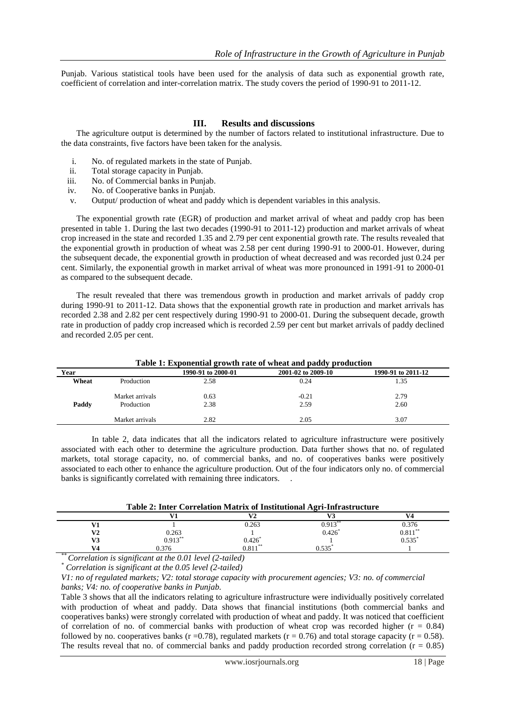Punjab. Various statistical tools have been used for the analysis of data such as exponential growth rate, coefficient of correlation and inter-correlation matrix. The study covers the period of 1990-91 to 2011-12.

### **III. Results and discussions**

The agriculture output is determined by the number of factors related to institutional infrastructure. Due to the data constraints, five factors have been taken for the analysis.

- i. No. of regulated markets in the state of Punjab.
- ii. Total storage capacity in Punjab.
- iii. No. of Commercial banks in Punjab.
- iv. No. of Cooperative banks in Punjab.
- v. Output/ production of wheat and paddy which is dependent variables in this analysis.

The exponential growth rate (EGR) of production and market arrival of wheat and paddy crop has been presented in table 1. During the last two decades (1990-91 to 2011-12) production and market arrivals of wheat crop increased in the state and recorded 1.35 and 2.79 per cent exponential growth rate. The results revealed that the exponential growth in production of wheat was 2.58 per cent during 1990-91 to 2000-01. However, during the subsequent decade, the exponential growth in production of wheat decreased and was recorded just 0.24 per cent. Similarly, the exponential growth in market arrival of wheat was more pronounced in 1991-91 to 2000-01 as compared to the subsequent decade.

The result revealed that there was tremendous growth in production and market arrivals of paddy crop during 1990-91 to 2011-12. Data shows that the exponential growth rate in production and market arrivals has recorded 2.38 and 2.82 per cent respectively during 1990-91 to 2000-01. During the subsequent decade, growth rate in production of paddy crop increased which is recorded 2.59 per cent but market arrivals of paddy declined and recorded 2.05 per cent.

| Table 1. Exponential growth rate of wheat and paudy production |                 |                    |                    |                    |  |  |  |
|----------------------------------------------------------------|-----------------|--------------------|--------------------|--------------------|--|--|--|
| Year                                                           |                 | 1990-91 to 2000-01 | 2001-02 to 2009-10 | 1990-91 to 2011-12 |  |  |  |
| Wheat                                                          | Production      | 2.58               | 0.24               | 1.35               |  |  |  |
|                                                                | Market arrivals | 0.63               | $-0.21$            | 2.79               |  |  |  |
| Paddy                                                          | Production      | 2.38               | 2.59               | 2.60               |  |  |  |
|                                                                | Market arrivals | 2.82               | 2.05               | 3.07               |  |  |  |

**Table 1: Exponential growth rate of wheat and paddy production**

In table 2, data indicates that all the indicators related to agriculture infrastructure were positively associated with each other to determine the agriculture production. Data further shows that no. of regulated markets, total storage capacity, no. of commercial banks, and no. of cooperatives banks were positively associated to each other to enhance the agriculture production. Out of the four indicators only no. of commercial banks is significantly correlated with remaining three indicators. .

**Table 2: Inter Correlation Matrix of Institutional Agri-Infrastructure**

|              | .<br>.               | .         | ___<br>.<br>. | ___                                    |
|--------------|----------------------|-----------|---------------|----------------------------------------|
|              | .                    | T7A       | T72           | <b>TTA</b>                             |
| T71          |                      | 0.263     | $0.913***$    |                                        |
| $\mathbf{V}$ |                      |           | 0.426         | $0.376$<br>$0.811^{**}$<br>$0.535^{*}$ |
| T72<br>V S   | $0.263$<br>$0.913**$ | $0.426^*$ |               | u.jjj                                  |
| V4           | 0.376                | U.OI J    | 0.535         |                                        |
| $-2$         |                      |           |               |                                        |

*\*\* Correlation is significant at the 0.01 level (2-tailed)*

*\* Correlation is significant at the 0.05 level (2-tailed)*

*V1: no of regulated markets; V2: total storage capacity with procurement agencies; V3: no. of commercial banks; V4: no. of cooperative banks in Punjab.*

Table 3 shows that all the indicators relating to agriculture infrastructure were individually positively correlated with production of wheat and paddy. Data shows that financial institutions (both commercial banks and cooperatives banks) were strongly correlated with production of wheat and paddy. It was noticed that coefficient of correlation of no. of commercial banks with production of wheat crop was recorded higher  $(r = 0.84)$ followed by no. cooperatives banks (r = 0.78), regulated markets (r = 0.76) and total storage capacity (r = 0.58). The results reveal that no. of commercial banks and paddy production recorded strong correlation ( $r = 0.85$ )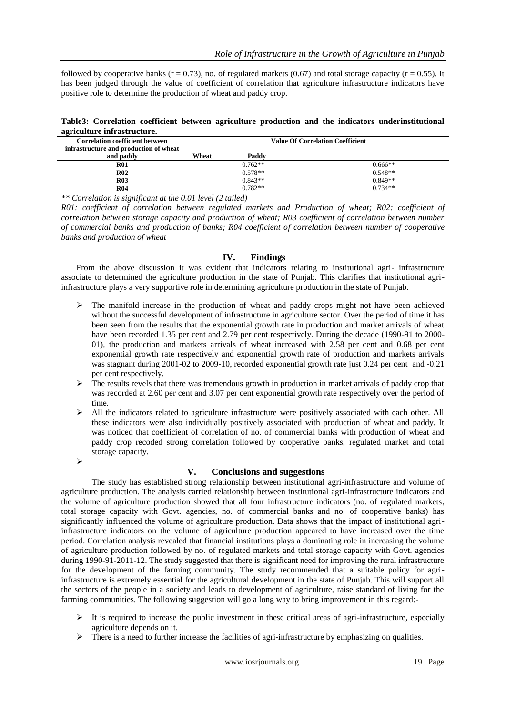followed by cooperative banks ( $r = 0.73$ ), no. of regulated markets (0.67) and total storage capacity ( $r = 0.55$ ). It has been judged through the value of coefficient of correlation that agriculture infrastructure indicators have positive role to determine the production of wheat and paddy crop.

|                             |  |  |  | Table3: Correlation coefficient between agriculture production and the indicators underinstitutional |  |
|-----------------------------|--|--|--|------------------------------------------------------------------------------------------------------|--|
| agriculture infrastructure. |  |  |  |                                                                                                      |  |

| agricatente mirabel aceare.            |       |           |                                         |
|----------------------------------------|-------|-----------|-----------------------------------------|
| <b>Correlation coefficient between</b> |       |           | <b>Value Of Correlation Coefficient</b> |
| infrastructure and production of wheat |       |           |                                         |
| and paddy                              | Wheat | Paddy     |                                         |
| <b>R01</b>                             |       | $0.762**$ | $0.666**$                               |
| <b>R02</b>                             |       | $0.578**$ | $0.548**$                               |
| R <sub>03</sub>                        |       | $0.843**$ | $0.849**$                               |
| <b>R04</b>                             |       | $0.782**$ | $0.734**$                               |

*\*\* Correlation is significant at the 0.01 level (2 tailed)*

*R01: coefficient of correlation between regulated markets and Production of wheat; R02: coefficient of correlation between storage capacity and production of wheat; R03 coefficient of correlation between number of commercial banks and production of banks; R04 coefficient of correlation between number of cooperative banks and production of wheat*

#### **IV. Findings**

From the above discussion it was evident that indicators relating to institutional agri- infrastructure associate to determined the agriculture production in the state of Punjab. This clarifies that institutional agriinfrastructure plays a very supportive role in determining agriculture production in the state of Punjab.

- $\triangleright$  The manifold increase in the production of wheat and paddy crops might not have been achieved without the successful development of infrastructure in agriculture sector. Over the period of time it has been seen from the results that the exponential growth rate in production and market arrivals of wheat have been recorded 1.35 per cent and 2.79 per cent respectively. During the decade (1990-91 to 2000- 01), the production and markets arrivals of wheat increased with 2.58 per cent and 0.68 per cent exponential growth rate respectively and exponential growth rate of production and markets arrivals was stagnant during 2001-02 to 2009-10, recorded exponential growth rate just 0.24 per cent and -0.21 per cent respectively.
- $\triangleright$  The results revels that there was tremendous growth in production in market arrivals of paddy crop that was recorded at 2.60 per cent and 3.07 per cent exponential growth rate respectively over the period of time.
- All the indicators related to agriculture infrastructure were positively associated with each other. All these indicators were also individually positively associated with production of wheat and paddy. It was noticed that coefficient of correlation of no. of commercial banks with production of wheat and paddy crop recoded strong correlation followed by cooperative banks, regulated market and total storage capacity.

 $\blacktriangleright$ 

## **V. Conclusions and suggestions**

The study has established strong relationship between institutional agri-infrastructure and volume of agriculture production. The analysis carried relationship between institutional agri-infrastructure indicators and the volume of agriculture production showed that all four infrastructure indicators (no. of regulated markets, total storage capacity with Govt. agencies, no. of commercial banks and no. of cooperative banks) has significantly influenced the volume of agriculture production. Data shows that the impact of institutional agriinfrastructure indicators on the volume of agriculture production appeared to have increased over the time period. Correlation analysis revealed that financial institutions plays a dominating role in increasing the volume of agriculture production followed by no. of regulated markets and total storage capacity with Govt. agencies during 1990-91-2011-12. The study suggested that there is significant need for improving the rural infrastructure for the development of the farming community. The study recommended that a suitable policy for agriinfrastructure is extremely essential for the agricultural development in the state of Punjab. This will support all the sectors of the people in a society and leads to development of agriculture, raise standard of living for the farming communities. The following suggestion will go a long way to bring improvement in this regard:-

- It is required to increase the public investment in these critical areas of agri-infrastructure, especially agriculture depends on it.
- $\triangleright$  There is a need to further increase the facilities of agri-infrastructure by emphasizing on qualities.